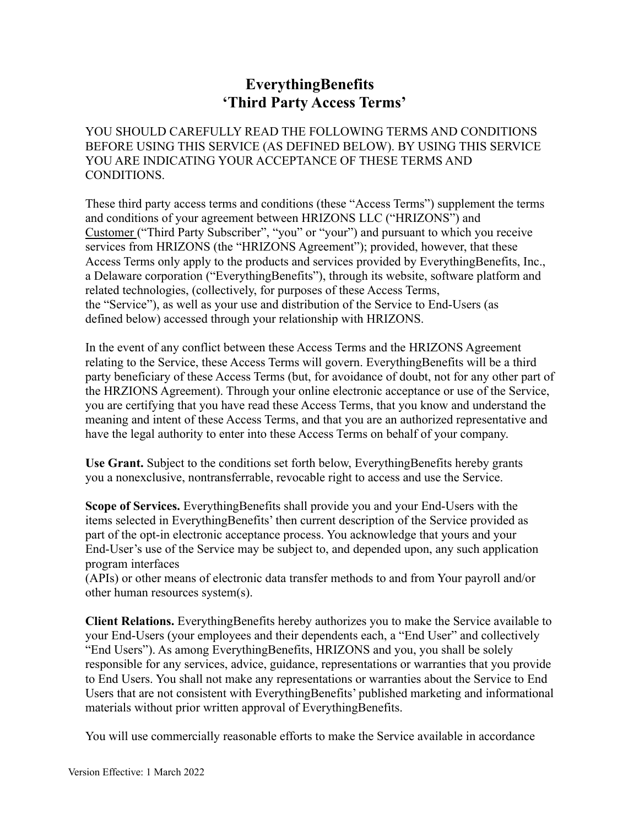## **EverythingBenefits 'Third Party Access Terms'**

YOU SHOULD CAREFULLY READ THE FOLLOWING TERMS AND CONDITIONS BEFORE USING THIS SERVICE (AS DEFINED BELOW). BY USING THIS SERVICE YOU ARE INDICATING YOUR ACCEPTANCE OF THESE TERMS AND CONDITIONS.

These third party access terms and conditions (these "Access Terms") supplement the terms and conditions of your agreement between HRIZONS LLC ("HRIZONS") and Customer ("Third Party Subscriber", "you" or "your") and pursuant to which you receive services from HRIZONS (the "HRIZONS Agreement"); provided, however, that these Access Terms only apply to the products and services provided by EverythingBenefits, Inc., a Delaware corporation ("EverythingBenefits"), through its website, software platform and related technologies, (collectively, for purposes of these Access Terms, the "Service"), as well as your use and distribution of the Service to End-Users (as defined below) accessed through your relationship with HRIZONS.

In the event of any conflict between these Access Terms and the HRIZONS Agreement relating to the Service, these Access Terms will govern. EverythingBenefits will be a third party beneficiary of these Access Terms (but, for avoidance of doubt, not for any other part of the HRZIONS Agreement). Through your online electronic acceptance or use of the Service, you are certifying that you have read these Access Terms, that you know and understand the meaning and intent of these Access Terms, and that you are an authorized representative and have the legal authority to enter into these Access Terms on behalf of your company.

**Use Grant.** Subject to the conditions set forth below, EverythingBenefits hereby grants you a nonexclusive, nontransferrable, revocable right to access and use the Service.

**Scope of Services.** EverythingBenefits shall provide you and your End-Users with the items selected in EverythingBenefits' then current description of the Service provided as part of the opt-in electronic acceptance process. You acknowledge that yours and your End-User's use of the Service may be subject to, and depended upon, any such application program interfaces

(APIs) or other means of electronic data transfer methods to and from Your payroll and/or other human resources system(s).

**Client Relations.** EverythingBenefits hereby authorizes you to make the Service available to your End-Users (your employees and their dependents each, a "End User" and collectively "End Users"). As among EverythingBenefits, HRIZONS and you, you shall be solely responsible for any services, advice, guidance, representations or warranties that you provide to End Users. You shall not make any representations or warranties about the Service to End Users that are not consistent with EverythingBenefits' published marketing and informational materials without prior written approval of EverythingBenefits.

You will use commercially reasonable efforts to make the Service available in accordance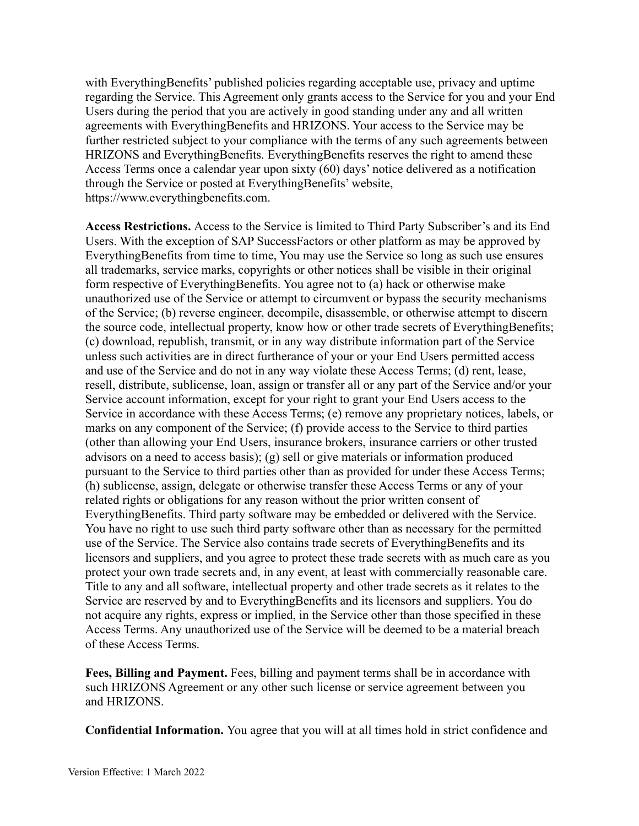with EverythingBenefits' published policies regarding acceptable use, privacy and uptime regarding the Service. This Agreement only grants access to the Service for you and your End Users during the period that you are actively in good standing under any and all written agreements with EverythingBenefits and HRIZONS. Your access to the Service may be further restricted subject to your compliance with the terms of any such agreements between HRIZONS and EverythingBenefits. EverythingBenefits reserves the right to amend these Access Terms once a calendar year upon sixty (60) days' notice delivered as a notification through the Service or posted at EverythingBenefits' website, https:/[/www.everythingbenefits.com.](http://www.everythingbenefits.com/)

**Access Restrictions.** Access to the Service is limited to Third Party Subscriber's and its End Users. With the exception of SAP SuccessFactors or other platform as may be approved by EverythingBenefits from time to time, You may use the Service so long as such use ensures all trademarks, service marks, copyrights or other notices shall be visible in their original form respective of EverythingBenefits. You agree not to (a) hack or otherwise make unauthorized use of the Service or attempt to circumvent or bypass the security mechanisms of the Service; (b) reverse engineer, decompile, disassemble, or otherwise attempt to discern the source code, intellectual property, know how or other trade secrets of EverythingBenefits; (c) download, republish, transmit, or in any way distribute information part of the Service unless such activities are in direct furtherance of your or your End Users permitted access and use of the Service and do not in any way violate these Access Terms; (d) rent, lease, resell, distribute, sublicense, loan, assign or transfer all or any part of the Service and/or your Service account information, except for your right to grant your End Users access to the Service in accordance with these Access Terms; (e) remove any proprietary notices, labels, or marks on any component of the Service; (f) provide access to the Service to third parties (other than allowing your End Users, insurance brokers, insurance carriers or other trusted advisors on a need to access basis); (g) sell or give materials or information produced pursuant to the Service to third parties other than as provided for under these Access Terms; (h) sublicense, assign, delegate or otherwise transfer these Access Terms or any of your related rights or obligations for any reason without the prior written consent of EverythingBenefits. Third party software may be embedded or delivered with the Service. You have no right to use such third party software other than as necessary for the permitted use of the Service. The Service also contains trade secrets of EverythingBenefits and its licensors and suppliers, and you agree to protect these trade secrets with as much care as you protect your own trade secrets and, in any event, at least with commercially reasonable care. Title to any and all software, intellectual property and other trade secrets as it relates to the Service are reserved by and to EverythingBenefits and its licensors and suppliers. You do not acquire any rights, express or implied, in the Service other than those specified in these Access Terms. Any unauthorized use of the Service will be deemed to be a material breach of these Access Terms.

**Fees, Billing and Payment.** Fees, billing and payment terms shall be in accordance with such HRIZONS Agreement or any other such license or service agreement between you and HRIZONS.

**Confidential Information.** You agree that you will at all times hold in strict confidence and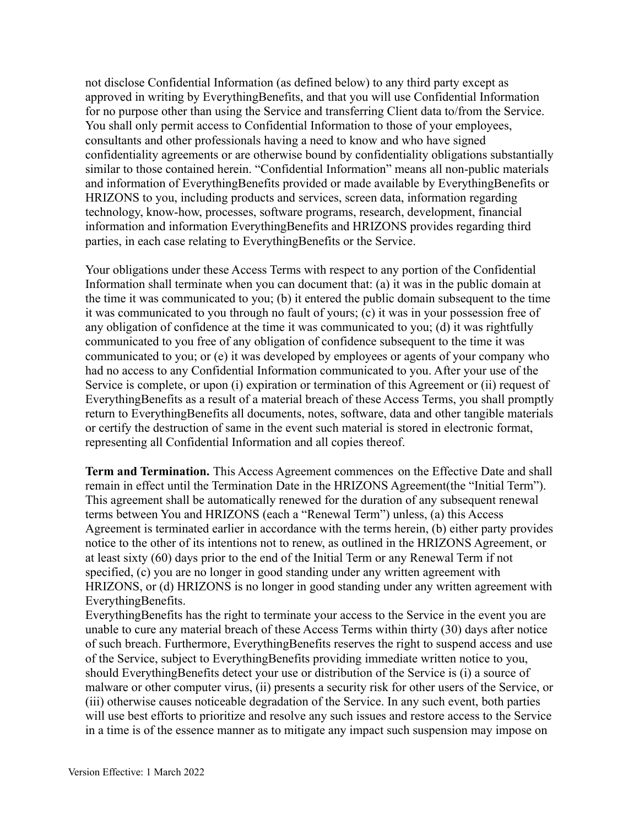not disclose Confidential Information (as defined below) to any third party except as approved in writing by EverythingBenefits, and that you will use Confidential Information for no purpose other than using the Service and transferring Client data to/from the Service. You shall only permit access to Confidential Information to those of your employees, consultants and other professionals having a need to know and who have signed confidentiality agreements or are otherwise bound by confidentiality obligations substantially similar to those contained herein. "Confidential Information" means all non-public materials and information of EverythingBenefits provided or made available by EverythingBenefits or HRIZONS to you, including products and services, screen data, information regarding technology, know-how, processes, software programs, research, development, financial information and information EverythingBenefits and HRIZONS provides regarding third parties, in each case relating to EverythingBenefits or the Service.

Your obligations under these Access Terms with respect to any portion of the Confidential Information shall terminate when you can document that: (a) it was in the public domain at the time it was communicated to you; (b) it entered the public domain subsequent to the time it was communicated to you through no fault of yours; (c) it was in your possession free of any obligation of confidence at the time it was communicated to you; (d) it was rightfully communicated to you free of any obligation of confidence subsequent to the time it was communicated to you; or (e) it was developed by employees or agents of your company who had no access to any Confidential Information communicated to you. After your use of the Service is complete, or upon (i) expiration or termination of this Agreement or (ii) request of EverythingBenefits as a result of a material breach of these Access Terms, you shall promptly return to EverythingBenefits all documents, notes, software, data and other tangible materials or certify the destruction of same in the event such material is stored in electronic format, representing all Confidential Information and all copies thereof.

**Term and Termination.** This Access Agreement commences on the Effective Date and shall remain in effect until the Termination Date in the HRIZONS Agreement(the "Initial Term"). This agreement shall be automatically renewed for the duration of any subsequent renewal terms between You and HRIZONS (each a "Renewal Term") unless, (a) this Access Agreement is terminated earlier in accordance with the terms herein, (b) either party provides notice to the other of its intentions not to renew, as outlined in the HRIZONS Agreement, or at least sixty (60) days prior to the end of the Initial Term or any Renewal Term if not specified, (c) you are no longer in good standing under any written agreement with HRIZONS, or (d) HRIZONS is no longer in good standing under any written agreement with EverythingBenefits.

EverythingBenefits has the right to terminate your access to the Service in the event you are unable to cure any material breach of these Access Terms within thirty (30) days after notice of such breach. Furthermore, EverythingBenefits reserves the right to suspend access and use of the Service, subject to EverythingBenefits providing immediate written notice to you, should EverythingBenefits detect your use or distribution of the Service is (i) a source of malware or other computer virus, (ii) presents a security risk for other users of the Service, or (iii) otherwise causes noticeable degradation of the Service. In any such event, both parties will use best efforts to prioritize and resolve any such issues and restore access to the Service in a time is of the essence manner as to mitigate any impact such suspension may impose on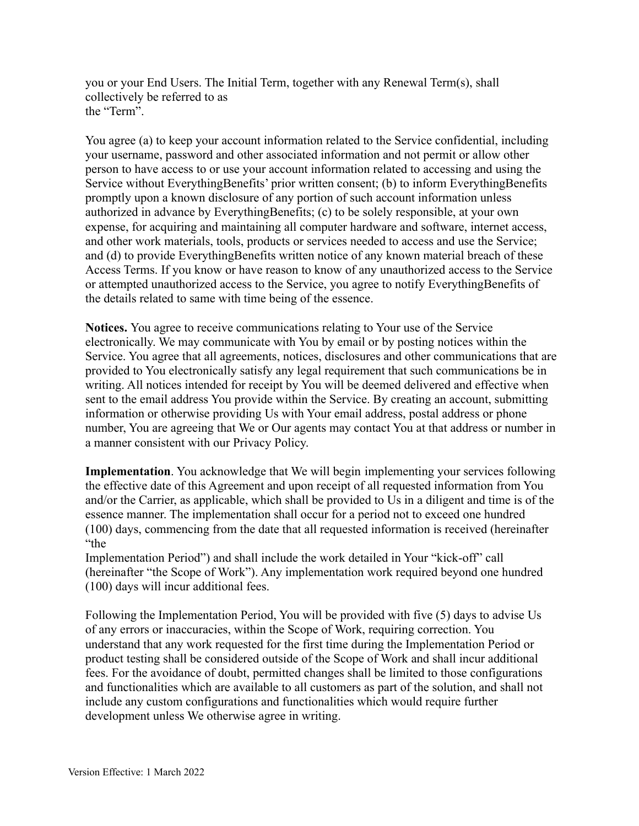you or your End Users. The Initial Term, together with any Renewal Term(s), shall collectively be referred to as the "Term".

You agree (a) to keep your account information related to the Service confidential, including your username, password and other associated information and not permit or allow other person to have access to or use your account information related to accessing and using the Service without EverythingBenefits' prior written consent; (b) to inform EverythingBenefits promptly upon a known disclosure of any portion of such account information unless authorized in advance by EverythingBenefits; (c) to be solely responsible, at your own expense, for acquiring and maintaining all computer hardware and software, internet access, and other work materials, tools, products or services needed to access and use the Service; and (d) to provide EverythingBenefits written notice of any known material breach of these Access Terms. If you know or have reason to know of any unauthorized access to the Service or attempted unauthorized access to the Service, you agree to notify EverythingBenefits of the details related to same with time being of the essence.

**Notices.** You agree to receive communications relating to Your use of the Service electronically. We may communicate with You by email or by posting notices within the Service. You agree that all agreements, notices, disclosures and other communications that are provided to You electronically satisfy any legal requirement that such communications be in writing. All notices intended for receipt by You will be deemed delivered and effective when sent to the email address You provide within the Service. By creating an account, submitting information or otherwise providing Us with Your email address, postal address or phone number, You are agreeing that We or Our agents may contact You at that address or number in a manner consistent with our Privacy Policy.

**Implementation**. You acknowledge that We will begin implementing your services following the effective date of this Agreement and upon receipt of all requested information from You and/or the Carrier, as applicable, which shall be provided to Us in a diligent and time is of the essence manner. The implementation shall occur for a period not to exceed one hundred (100) days, commencing from the date that all requested information is received (hereinafter "the

Implementation Period") and shall include the work detailed in Your "kick-off" call (hereinafter "the Scope of Work"). Any implementation work required beyond one hundred (100) days will incur additional fees.

Following the Implementation Period, You will be provided with five (5) days to advise Us of any errors or inaccuracies, within the Scope of Work, requiring correction. You understand that any work requested for the first time during the Implementation Period or product testing shall be considered outside of the Scope of Work and shall incur additional fees. For the avoidance of doubt, permitted changes shall be limited to those configurations and functionalities which are available to all customers as part of the solution, and shall not include any custom configurations and functionalities which would require further development unless We otherwise agree in writing.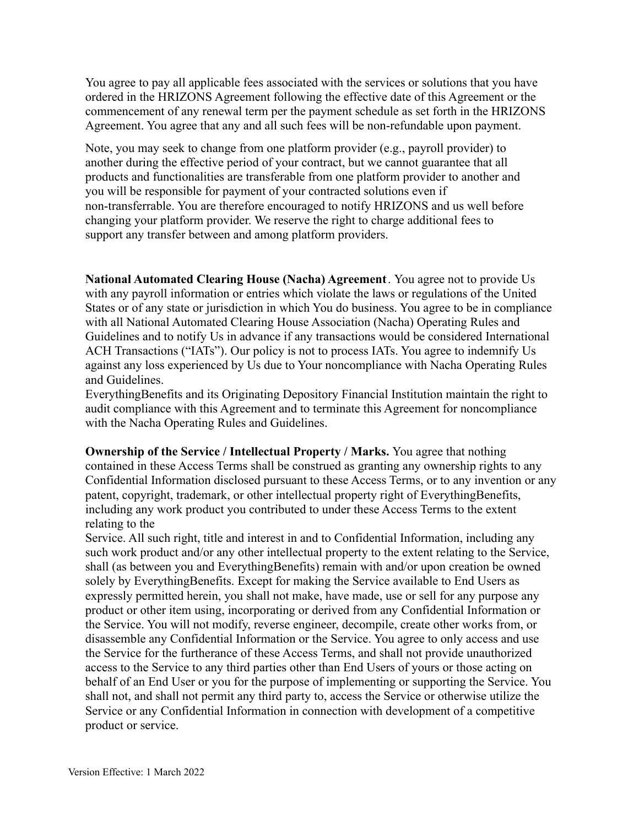You agree to pay all applicable fees associated with the services or solutions that you have ordered in the HRIZONS Agreement following the effective date of this Agreement or the commencement of any renewal term per the payment schedule as set forth in the HRIZONS Agreement. You agree that any and all such fees will be non-refundable upon payment.

Note, you may seek to change from one platform provider (e.g., payroll provider) to another during the effective period of your contract, but we cannot guarantee that all products and functionalities are transferable from one platform provider to another and you will be responsible for payment of your contracted solutions even if non-transferrable. You are therefore encouraged to notify HRIZONS and us well before changing your platform provider. We reserve the right to charge additional fees to support any transfer between and among platform providers.

**National Automated Clearing House (Nacha) Agreement**. You agree not to provide Us with any payroll information or entries which violate the laws or regulations of the United States or of any state or jurisdiction in which You do business. You agree to be in compliance with all National Automated Clearing House Association (Nacha) Operating Rules and Guidelines and to notify Us in advance if any transactions would be considered International ACH Transactions ("IATs"). Our policy is not to process IATs. You agree to indemnify Us against any loss experienced by Us due to Your noncompliance with Nacha Operating Rules and Guidelines.

EverythingBenefits and its Originating Depository Financial Institution maintain the right to audit compliance with this Agreement and to terminate this Agreement for noncompliance with the Nacha Operating Rules and Guidelines.

**Ownership of the Service / Intellectual Property / Marks.** You agree that nothing contained in these Access Terms shall be construed as granting any ownership rights to any Confidential Information disclosed pursuant to these Access Terms, or to any invention or any patent, copyright, trademark, or other intellectual property right of EverythingBenefits, including any work product you contributed to under these Access Terms to the extent relating to the

Service. All such right, title and interest in and to Confidential Information, including any such work product and/or any other intellectual property to the extent relating to the Service, shall (as between you and EverythingBenefits) remain with and/or upon creation be owned solely by EverythingBenefits. Except for making the Service available to End Users as expressly permitted herein, you shall not make, have made, use or sell for any purpose any product or other item using, incorporating or derived from any Confidential Information or the Service. You will not modify, reverse engineer, decompile, create other works from, or disassemble any Confidential Information or the Service. You agree to only access and use the Service for the furtherance of these Access Terms, and shall not provide unauthorized access to the Service to any third parties other than End Users of yours or those acting on behalf of an End User or you for the purpose of implementing or supporting the Service. You shall not, and shall not permit any third party to, access the Service or otherwise utilize the Service or any Confidential Information in connection with development of a competitive product or service.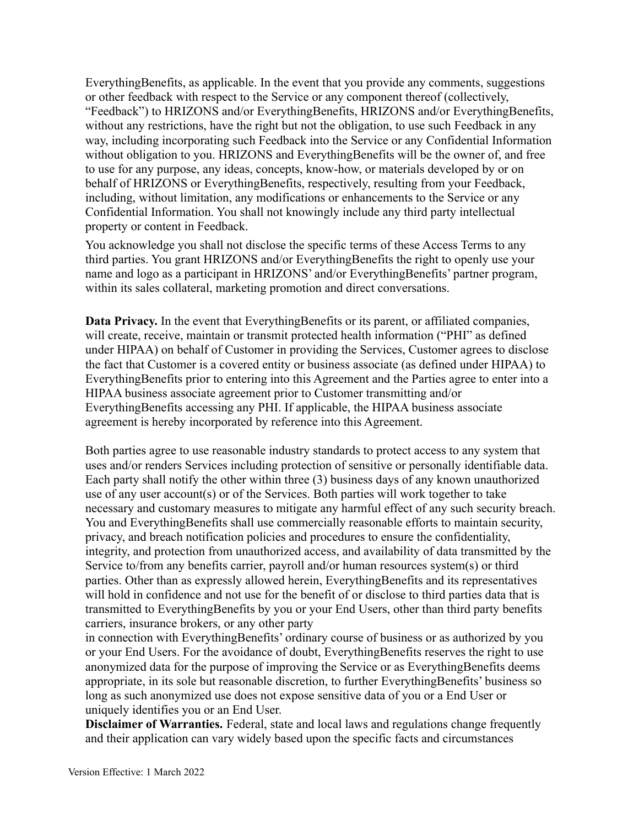EverythingBenefits, as applicable. In the event that you provide any comments, suggestions or other feedback with respect to the Service or any component thereof (collectively, "Feedback") to HRIZONS and/or EverythingBenefits, HRIZONS and/or EverythingBenefits, without any restrictions, have the right but not the obligation, to use such Feedback in any way, including incorporating such Feedback into the Service or any Confidential Information without obligation to you. HRIZONS and EverythingBenefits will be the owner of, and free to use for any purpose, any ideas, concepts, know-how, or materials developed by or on behalf of HRIZONS or EverythingBenefits, respectively, resulting from your Feedback, including, without limitation, any modifications or enhancements to the Service or any Confidential Information. You shall not knowingly include any third party intellectual property or content in Feedback.

You acknowledge you shall not disclose the specific terms of these Access Terms to any third parties. You grant HRIZONS and/or EverythingBenefits the right to openly use your name and logo as a participant in HRIZONS' and/or EverythingBenefits' partner program, within its sales collateral, marketing promotion and direct conversations.

**Data Privacy.** In the event that EverythingBenefits or its parent, or affiliated companies, will create, receive, maintain or transmit protected health information ("PHI" as defined under HIPAA) on behalf of Customer in providing the Services, Customer agrees to disclose the fact that Customer is a covered entity or business associate (as defined under HIPAA) to EverythingBenefits prior to entering into this Agreement and the Parties agree to enter into a HIPAA business associate agreement prior to Customer transmitting and/or EverythingBenefits accessing any PHI. If applicable, the HIPAA business associate agreement is hereby incorporated by reference into this Agreement.

Both parties agree to use reasonable industry standards to protect access to any system that uses and/or renders Services including protection of sensitive or personally identifiable data. Each party shall notify the other within three (3) business days of any known unauthorized use of any user account(s) or of the Services. Both parties will work together to take necessary and customary measures to mitigate any harmful effect of any such security breach. You and EverythingBenefits shall use commercially reasonable efforts to maintain security, privacy, and breach notification policies and procedures to ensure the confidentiality, integrity, and protection from unauthorized access, and availability of data transmitted by the Service to/from any benefits carrier, payroll and/or human resources system(s) or third parties. Other than as expressly allowed herein, EverythingBenefits and its representatives will hold in confidence and not use for the benefit of or disclose to third parties data that is transmitted to EverythingBenefits by you or your End Users, other than third party benefits carriers, insurance brokers, or any other party

in connection with EverythingBenefits' ordinary course of business or as authorized by you or your End Users. For the avoidance of doubt, EverythingBenefits reserves the right to use anonymized data for the purpose of improving the Service or as EverythingBenefits deems appropriate, in its sole but reasonable discretion, to further EverythingBenefits' business so long as such anonymized use does not expose sensitive data of you or a End User or uniquely identifies you or an End User.

**Disclaimer of Warranties.** Federal, state and local laws and regulations change frequently and their application can vary widely based upon the specific facts and circumstances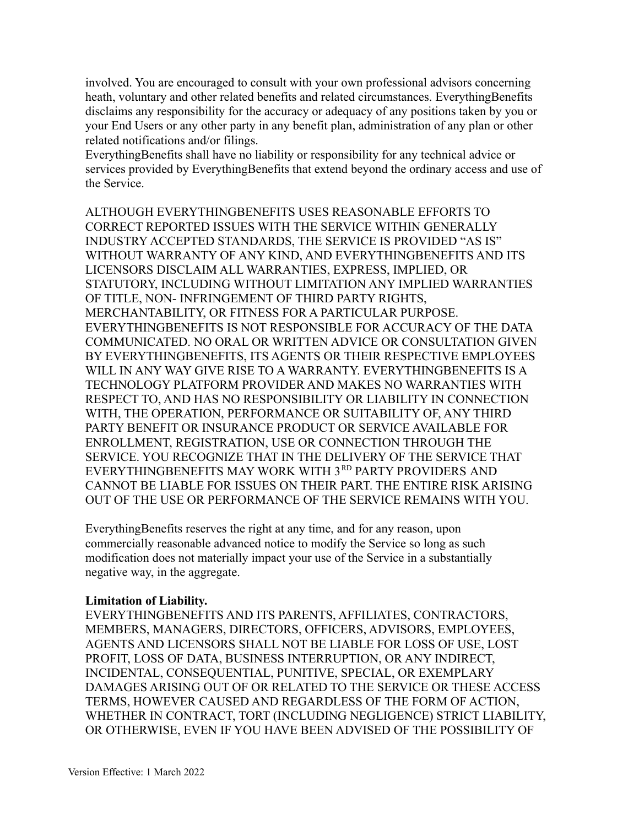involved. You are encouraged to consult with your own professional advisors concerning heath, voluntary and other related benefits and related circumstances. EverythingBenefits disclaims any responsibility for the accuracy or adequacy of any positions taken by you or your End Users or any other party in any benefit plan, administration of any plan or other related notifications and/or filings.

EverythingBenefits shall have no liability or responsibility for any technical advice or services provided by EverythingBenefits that extend beyond the ordinary access and use of the Service.

ALTHOUGH EVERYTHINGBENEFITS USES REASONABLE EFFORTS TO CORRECT REPORTED ISSUES WITH THE SERVICE WITHIN GENERALLY INDUSTRY ACCEPTED STANDARDS, THE SERVICE IS PROVIDED "AS IS" WITHOUT WARRANTY OF ANY KIND, AND EVERYTHINGBENEFITS AND ITS LICENSORS DISCLAIM ALL WARRANTIES, EXPRESS, IMPLIED, OR STATUTORY, INCLUDING WITHOUT LIMITATION ANY IMPLIED WARRANTIES OF TITLE, NON- INFRINGEMENT OF THIRD PARTY RIGHTS, MERCHANTABILITY, OR FITNESS FOR A PARTICULAR PURPOSE. EVERYTHINGBENEFITS IS NOT RESPONSIBLE FOR ACCURACY OF THE DATA COMMUNICATED. NO ORAL OR WRITTEN ADVICE OR CONSULTATION GIVEN BY EVERYTHINGBENEFITS, ITS AGENTS OR THEIR RESPECTIVE EMPLOYEES WILL IN ANY WAY GIVE RISE TO A WARRANTY. EVERYTHINGBENEFITS IS A TECHNOLOGY PLATFORM PROVIDER AND MAKES NO WARRANTIES WITH RESPECT TO, AND HAS NO RESPONSIBILITY OR LIABILITY IN CONNECTION WITH, THE OPERATION, PERFORMANCE OR SUITABILITY OF, ANY THIRD PARTY BENEFIT OR INSURANCE PRODUCT OR SERVICE AVAILABLE FOR ENROLLMENT, REGISTRATION, USE OR CONNECTION THROUGH THE SERVICE. YOU RECOGNIZE THAT IN THE DELIVERY OF THE SERVICE THAT EVERYTHINGBENEFITS MAY WORK WITH 3RD PARTY PROVIDERS AND CANNOT BE LIABLE FOR ISSUES ON THEIR PART. THE ENTIRE RISK ARISING OUT OF THE USE OR PERFORMANCE OF THE SERVICE REMAINS WITH YOU.

EverythingBenefits reserves the right at any time, and for any reason, upon commercially reasonable advanced notice to modify the Service so long as such modification does not materially impact your use of the Service in a substantially negative way, in the aggregate.

## **Limitation of Liability.**

EVERYTHINGBENEFITS AND ITS PARENTS, AFFILIATES, CONTRACTORS, MEMBERS, MANAGERS, DIRECTORS, OFFICERS, ADVISORS, EMPLOYEES, AGENTS AND LICENSORS SHALL NOT BE LIABLE FOR LOSS OF USE, LOST PROFIT, LOSS OF DATA, BUSINESS INTERRUPTION, OR ANY INDIRECT, INCIDENTAL, CONSEQUENTIAL, PUNITIVE, SPECIAL, OR EXEMPLARY DAMAGES ARISING OUT OF OR RELATED TO THE SERVICE OR THESE ACCESS TERMS, HOWEVER CAUSED AND REGARDLESS OF THE FORM OF ACTION, WHETHER IN CONTRACT, TORT (INCLUDING NEGLIGENCE) STRICT LIABILITY, OR OTHERWISE, EVEN IF YOU HAVE BEEN ADVISED OF THE POSSIBILITY OF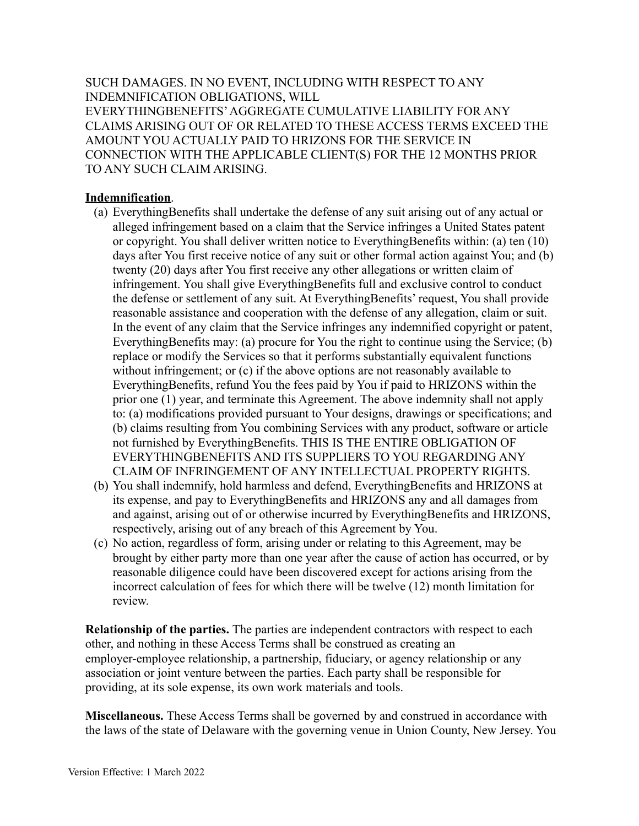SUCH DAMAGES. IN NO EVENT, INCLUDING WITH RESPECT TO ANY INDEMNIFICATION OBLIGATIONS, WILL EVERYTHINGBENEFITS'AGGREGATE CUMULATIVE LIABILITY FOR ANY CLAIMS ARISING OUT OF OR RELATED TO THESE ACCESS TERMS EXCEED THE AMOUNT YOU ACTUALLY PAID TO HRIZONS FOR THE SERVICE IN CONNECTION WITH THE APPLICABLE CLIENT(S) FOR THE 12 MONTHS PRIOR TO ANY SUCH CLAIM ARISING.

## **Indemnification**.

- (a) EverythingBenefits shall undertake the defense of any suit arising out of any actual or alleged infringement based on a claim that the Service infringes a United States patent or copyright. You shall deliver written notice to EverythingBenefits within: (a) ten (10) days after You first receive notice of any suit or other formal action against You; and (b) twenty (20) days after You first receive any other allegations or written claim of infringement. You shall give EverythingBenefits full and exclusive control to conduct the defense or settlement of any suit. At EverythingBenefits' request, You shall provide reasonable assistance and cooperation with the defense of any allegation, claim or suit. In the event of any claim that the Service infringes any indemnified copyright or patent, EverythingBenefits may: (a) procure for You the right to continue using the Service; (b) replace or modify the Services so that it performs substantially equivalent functions without infringement; or (c) if the above options are not reasonably available to EverythingBenefits, refund You the fees paid by You if paid to HRIZONS within the prior one (1) year, and terminate this Agreement. The above indemnity shall not apply to: (a) modifications provided pursuant to Your designs, drawings or specifications; and (b) claims resulting from You combining Services with any product, software or article not furnished by EverythingBenefits. THIS IS THE ENTIRE OBLIGATION OF EVERYTHINGBENEFITS AND ITS SUPPLIERS TO YOU REGARDING ANY CLAIM OF INFRINGEMENT OF ANY INTELLECTUAL PROPERTY RIGHTS.
- (b) You shall indemnify, hold harmless and defend, EverythingBenefits and HRIZONS at its expense, and pay to EverythingBenefits and HRIZONS any and all damages from and against, arising out of or otherwise incurred by EverythingBenefits and HRIZONS, respectively, arising out of any breach of this Agreement by You.
- (c) No action, regardless of form, arising under or relating to this Agreement, may be brought by either party more than one year after the cause of action has occurred, or by reasonable diligence could have been discovered except for actions arising from the incorrect calculation of fees for which there will be twelve (12) month limitation for review.

**Relationship of the parties.** The parties are independent contractors with respect to each other, and nothing in these Access Terms shall be construed as creating an employer-employee relationship, a partnership, fiduciary, or agency relationship or any association or joint venture between the parties. Each party shall be responsible for providing, at its sole expense, its own work materials and tools.

**Miscellaneous.** These Access Terms shall be governed by and construed in accordance with the laws of the state of Delaware with the governing venue in Union County, New Jersey. You